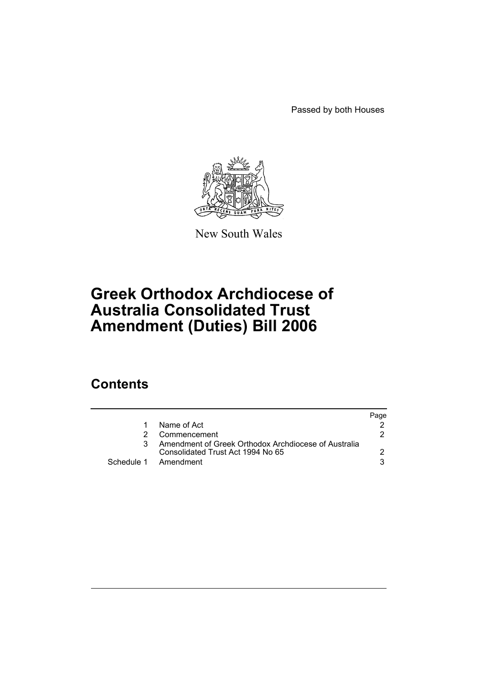Passed by both Houses



New South Wales

# **Greek Orthodox Archdiocese of Australia Consolidated Trust Amendment (Duties) Bill 2006**

## **Contents**

|   |                                                                                           | Page |
|---|-------------------------------------------------------------------------------------------|------|
| 1 | Name of Act                                                                               |      |
|   | Commencement                                                                              |      |
|   | Amendment of Greek Orthodox Archdiocese of Australia<br>Consolidated Trust Act 1994 No 65 |      |
|   | Schedule 1 Amendment                                                                      |      |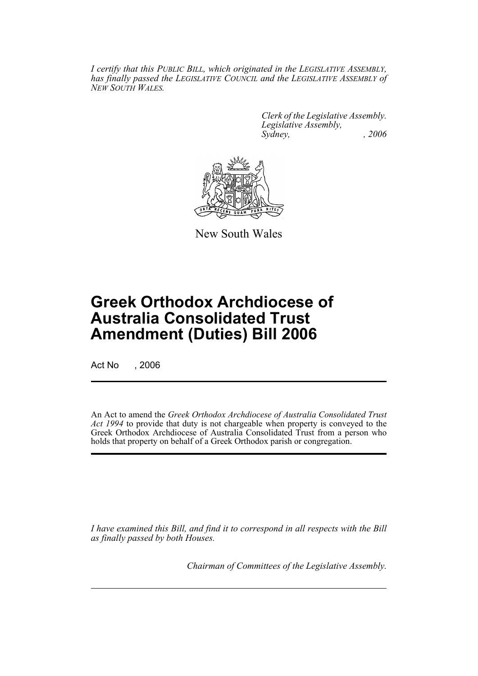*I certify that this PUBLIC BILL, which originated in the LEGISLATIVE ASSEMBLY, has finally passed the LEGISLATIVE COUNCIL and the LEGISLATIVE ASSEMBLY of NEW SOUTH WALES.*

> *Clerk of the Legislative Assembly. Legislative Assembly, Sydney, , 2006*



New South Wales

## **Greek Orthodox Archdiocese of Australia Consolidated Trust Amendment (Duties) Bill 2006**

Act No , 2006

An Act to amend the *Greek Orthodox Archdiocese of Australia Consolidated Trust Act 1994* to provide that duty is not chargeable when property is conveyed to the Greek Orthodox Archdiocese of Australia Consolidated Trust from a person who holds that property on behalf of a Greek Orthodox parish or congregation.

*I have examined this Bill, and find it to correspond in all respects with the Bill as finally passed by both Houses.*

*Chairman of Committees of the Legislative Assembly.*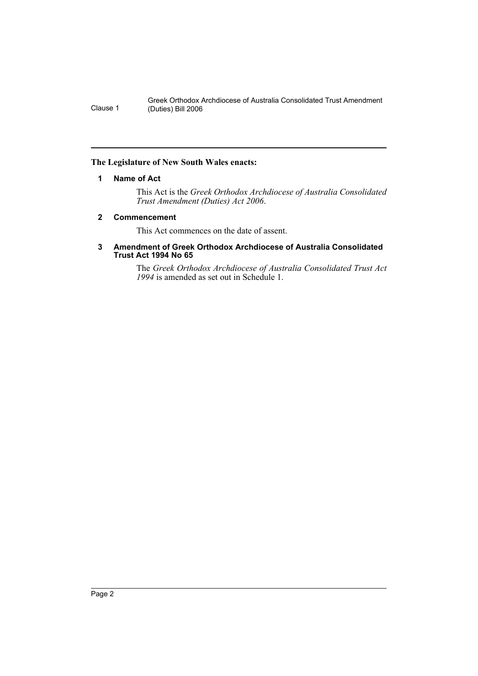Greek Orthodox Archdiocese of Australia Consolidated Trust Amendment Clause 1 (Duties) Bill 2006

#### **The Legislature of New South Wales enacts:**

#### **1 Name of Act**

This Act is the *Greek Orthodox Archdiocese of Australia Consolidated Trust Amendment (Duties) Act 2006*.

#### **2 Commencement**

This Act commences on the date of assent.

#### **3 Amendment of Greek Orthodox Archdiocese of Australia Consolidated Trust Act 1994 No 65**

The *Greek Orthodox Archdiocese of Australia Consolidated Trust Act 1994* is amended as set out in Schedule 1.